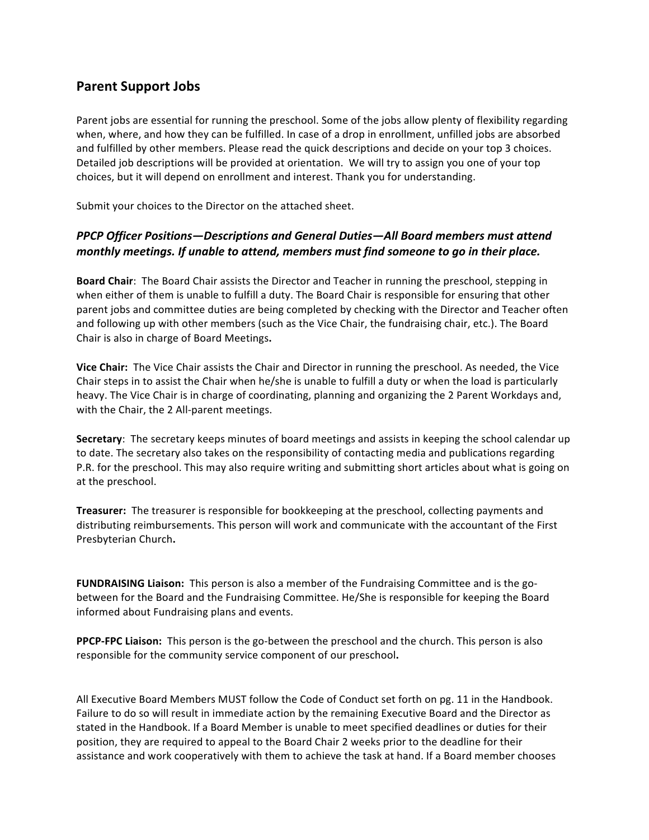## **Parent Support Jobs**

Parent jobs are essential for running the preschool. Some of the jobs allow plenty of flexibility regarding when, where, and how they can be fulfilled. In case of a drop in enrollment, unfilled jobs are absorbed and fulfilled by other members. Please read the quick descriptions and decide on your top 3 choices. Detailed job descriptions will be provided at orientation. We will try to assign you one of your top choices, but it will depend on enrollment and interest. Thank you for understanding.

Submit your choices to the Director on the attached sheet.

## **PPCP Officer Positions—Descriptions and General Duties—All Board members must attend** *monthly meetings.* If unable to attend, members must find someone to go in their place.

**Board Chair:** The Board Chair assists the Director and Teacher in running the preschool, stepping in when either of them is unable to fulfill a duty. The Board Chair is responsible for ensuring that other parent jobs and committee duties are being completed by checking with the Director and Teacher often and following up with other members (such as the Vice Chair, the fundraising chair, etc.). The Board Chair is also in charge of Board Meetings.

**Vice Chair:** The Vice Chair assists the Chair and Director in running the preschool. As needed, the Vice Chair steps in to assist the Chair when he/she is unable to fulfill a duty or when the load is particularly heavy. The Vice Chair is in charge of coordinating, planning and organizing the 2 Parent Workdays and, with the Chair, the 2 All-parent meetings.

**Secretary:** The secretary keeps minutes of board meetings and assists in keeping the school calendar up to date. The secretary also takes on the responsibility of contacting media and publications regarding P.R. for the preschool. This may also require writing and submitting short articles about what is going on at the preschool.

**Treasurer:** The treasurer is responsible for bookkeeping at the preschool, collecting payments and distributing reimbursements. This person will work and communicate with the accountant of the First Presbyterian Church**.**

**FUNDRAISING Liaison:** This person is also a member of the Fundraising Committee and is the gobetween for the Board and the Fundraising Committee. He/She is responsible for keeping the Board informed about Fundraising plans and events.

**PPCP-FPC Liaison:** This person is the go-between the preschool and the church. This person is also responsible for the community service component of our preschool.

All Executive Board Members MUST follow the Code of Conduct set forth on pg. 11 in the Handbook. Failure to do so will result in immediate action by the remaining Executive Board and the Director as stated in the Handbook. If a Board Member is unable to meet specified deadlines or duties for their position, they are required to appeal to the Board Chair 2 weeks prior to the deadline for their assistance and work cooperatively with them to achieve the task at hand. If a Board member chooses